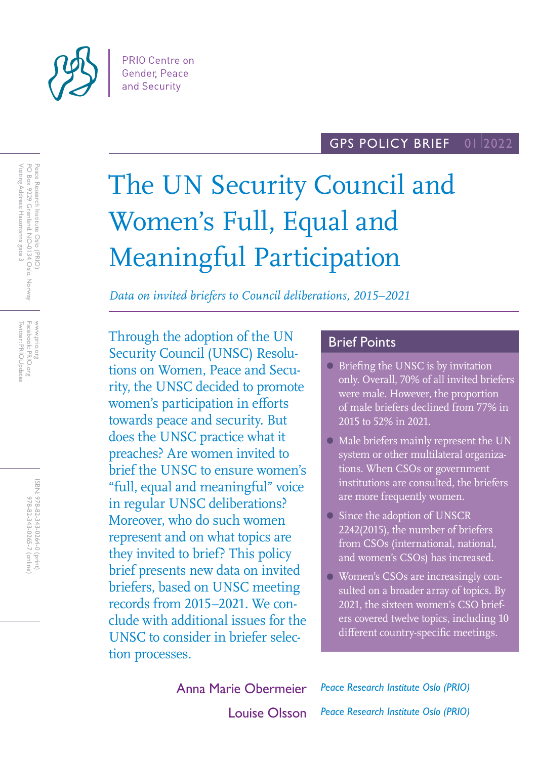

#### GPS POLICY BRIEF 01 2022

# The UN Security Council and Women's Full, Equal and Meaningful Participation

*Data on invited briefers to Council deliberations, 2015–2021*

Through the adoption of the UN Security Council (UNSC) Resolutions on Women, Peace and Security, the UNSC decided to promote women's participation in efforts towards peace and security. But does the UNSC practice what it preaches? Are women invited to brief the UNSC to ensure women's "full, equal and meaningful" voice in regular UNSC deliberations? Moreover, who do such women represent and on what topics are they invited to brief? This policy brief presents new data on invited briefers, based on UNSC meeting records from 2015–2021. We conclude with additional issues for the UNSC to consider in briefer selection processes.

## Brief Points

- Briefing the UNSC is by invitation only. Overall, 70% of all invited briefers were male. However, the proportion of male briefers declined from 77% in 2015 to 52% in 2021.
- Male briefers mainly represent the UN system or other multilateral organizations. When CSOs or government institutions are consulted, the briefers are more frequently women.
- Since the adoption of UNSCR 2242(2015), the number of briefers from CSOs (international, national, and women's CSOs) has increased.
- Women's CSOs are increasingly consulted on a broader array of topics. By 2021, the sixteen women's CSO briefers covered twelve topics, including 10 different country-specific meetings.

Louise Olsson *Peace Research Institute Oslo (PRIO)* Anna Marie Obermeier *Peace Research Institute Oslo (PRIO)*

Peace Research Institute Oslo (PRIO)<br>PO Box 9229 Grønland, NO-0134 Oslo, Norway<br>Visiting Address: Hausmanns gate 3 Visiting Address: Hausmanns gate 3 PO Box 9229 Grønland, NO-0134 Oslo, Norway Peace Research Institute Oslo (PRIO)

Facebook: PRIO.org<br>Twitter: PRIOUpdates Twitter: PRIOUpdates Facebook: PRIO.org www.prio.org www.prio.org

> ISBN: 978-82-343-0264-0 (print) 978-82-343-0265-7 (online) 978-82-343-0265-7 (online) 978-82-343-0264-0 (print)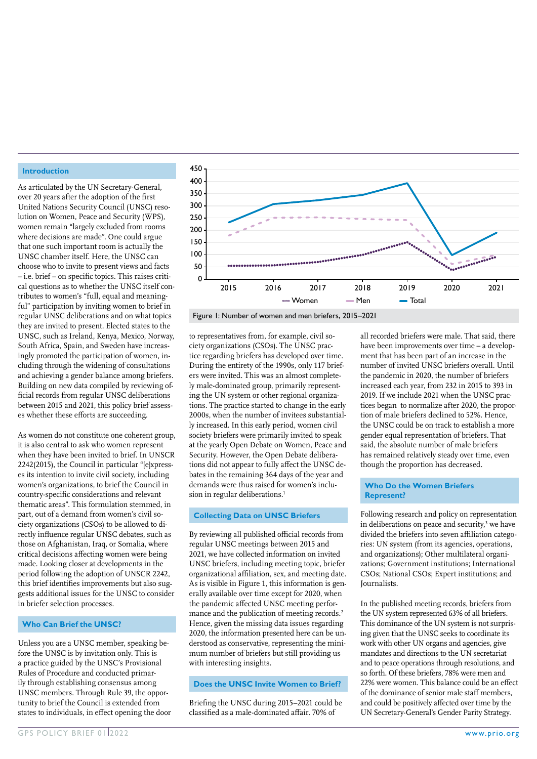#### **Introduction**

As articulated by the UN Secretary-General, over 20 years after the adoption of the first United Nations Security Council (UNSC) resolution on Women, Peace and Security (WPS), women remain "largely excluded from rooms where decisions are made". One could argue that one such important room is actually the UNSC chamber itself. Here, the UNSC can choose who to invite to present views and facts – i.e. brief – on specific topics. This raises critical questions as to whether the UNSC itself contributes to women's "full, equal and meaningful" participation by inviting women to brief in regular UNSC deliberations and on what topics they are invited to present. Elected states to the UNSC, such as Ireland, Kenya, Mexico, Norway, South Africa, Spain, and Sweden have increasingly promoted the participation of women, including through the widening of consultations and achieving a gender balance among briefers. Building on new data compiled by reviewing official records from regular UNSC deliberations between 2015 and 2021, this policy brief assesses whether these efforts are succeeding.

As women do not constitute one coherent group, it is also central to ask who women represent when they have been invited to brief. In UNSCR 2242(2015), the Council in particular "[e]xpresses its intention to invite civil society, including women's organizations, to brief the Council in country-specific considerations and relevant thematic areas". This formulation stemmed, in part, out of a demand from women's civil society organizations (CSOs) to be allowed to directly influence regular UNSC debates, such as those on Afghanistan, Iraq, or Somalia, where critical decisions affecting women were being made. Looking closer at developments in the period following the adoption of UNSCR 2242, this brief identifies improvements but also suggests additional issues for the UNSC to consider in briefer selection processes.

## **Who Can Brief the UNSC?**

Unless you are a UNSC member, speaking before the UNSC is by invitation only. This is a practice guided by the UNSC's Provisional Rules of Procedure and conducted primarily through establishing consensus among UNSC members. Through Rule 39, the opportunity to brief the Council is extended from states to individuals, in effect opening the door



to representatives from, for example, civil society organizations (CSOs). The UNSC practice regarding briefers has developed over time. During the entirety of the 1990s, only 117 briefers were invited. This was an almost completely male-dominated group, primarily representing the UN system or other regional organizations. The practice started to change in the early 2000s, when the number of invitees substantially increased. In this early period, women civil society briefers were primarily invited to speak at the yearly Open Debate on Women, Peace and Security. However, the Open Debate deliberations did not appear to fully affect the UNSC debates in the remaining 364 days of the year and demands were thus raised for women's inclusion in regular deliberations.<sup>1</sup>

#### **Collecting Data on UNSC Briefers**

By reviewing all published official records from regular UNSC meetings between 2015 and 2021, we have collected information on invited UNSC briefers, including meeting topic, briefer organizational affiliation, sex, and meeting date. As is visible in Figure 1, this information is generally available over time except for 2020, when the pandemic affected UNSC meeting performance and the publication of meeting records.<sup>2</sup> Hence, given the missing data issues regarding 2020, the information presented here can be understood as conservative, representing the minimum number of briefers but still providing us with interesting insights.

#### **Does the UNSC Invite Women to Brief?**

Briefing the UNSC during 2015–2021 could be classified as a male-dominated affair. 70% of

all recorded briefers were male. That said, there have been improvements over time – a development that has been part of an increase in the number of invited UNSC briefers overall. Until the pandemic in 2020, the number of briefers increased each year, from 232 in 2015 to 393 in 2019. If we include 2021 when the UNSC practices began to normalize after 2020, the proportion of male briefers declined to 52%. Hence, the UNSC could be on track to establish a more gender equal representation of briefers. That said, the absolute number of male briefers has remained relatively steady over time, even though the proportion has decreased.

#### **Who Do the Women Briefers Represent?**

Following research and policy on representation in deliberations on peace and security,<sup>3</sup> we have divided the briefers into seven affiliation categories: UN system (from its agencies, operations, and organizations); Other multilateral organizations; Government institutions; International CSOs; National CSOs; Expert institutions; and Journalists.

In the published meeting records, briefers from the UN system represented 63% of all briefers. This dominance of the UN system is not surprising given that the UNSC seeks to coordinate its work with other UN organs and agencies, give mandates and directions to the UN secretariat and to peace operations through resolutions, and so forth. Of these briefers, 78% were men and 22% were women. This balance could be an effect of the dominance of senior male staff members, and could be positively affected over time by the UN Secretary-General's Gender Parity Strategy.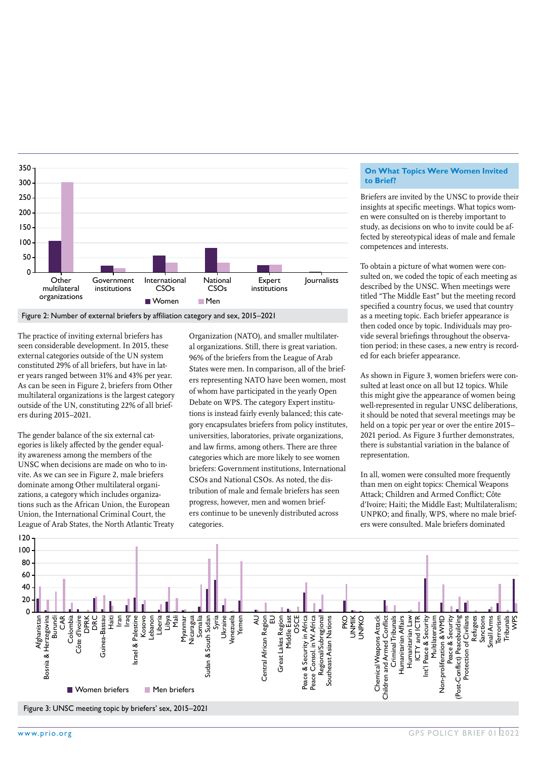

The practice of inviting external briefers has seen considerable development. In 2015, these external categories outside of the UN system constituted 29% of all briefers, but have in later years ranged between 31% and 43% per year. As can be seen in Figure 2, briefers from Other multilateral organizations is the largest category outside of the UN, constituting 22% of all briefers during 2015–2021.

The gender balance of the six external categories is likely affected by the gender equality awareness among the members of the UNSC when decisions are made on who to invite. As we can see in Figure 2, male briefers dominate among Other multilateral organizations, a category which includes organizations such as the African Union, the European Union, the International Criminal Court, the League of Arab States, the North Atlantic Treaty

Organization (NATO), and smaller multilateral organizations. Still, there is great variation. 96% of the briefers from the League of Arab States were men. In comparison, all of the briefers representing NATO have been women, most of whom have participated in the yearly Open Debate on WPS. The category Expert institutions is instead fairly evenly balanced; this category encapsulates briefers from policy institutes, universities, laboratories, private organizations, and law firms, among others. There are three categories which are more likely to see women briefers: Government institutions, International CSOs and National CSOs. As noted, the distribution of male and female briefers has seen progress, however, men and women briefers continue to be unevenly distributed across categories.

#### **On What Topics Were Women Invited to Brief?**

Briefers are invited by the UNSC to provide their insights at specific meetings. What topics women were consulted on is thereby important to study, as decisions on who to invite could be affected by stereotypical ideas of male and female competences and interests.

To obtain a picture of what women were consulted on, we coded the topic of each meeting as described by the UNSC. When meetings were titled "The Middle East" but the meeting record specified a country focus, we used that country as a meeting topic. Each briefer appearance is then coded once by topic. Individuals may provide several briefings throughout the observation period; in these cases, a new entry is recorded for each briefer appearance.

As shown in Figure 3, women briefers were consulted at least once on all but 12 topics. While this might give the appearance of women being well-represented in regular UNSC deliberations, it should be noted that several meetings may be held on a topic per year or over the entire 2015– 2021 period. As Figure 3 further demonstrates, there is substantial variation in the balance of representation.

In all, women were consulted more frequently than men on eight topics: Chemical Weapons Attack; Children and Armed Conflict; Côte d'Ivoire; Haiti; the Middle East; Multilateralism; UNPKO; and finally, WPS, where no male briefers were consulted. Male briefers dominated